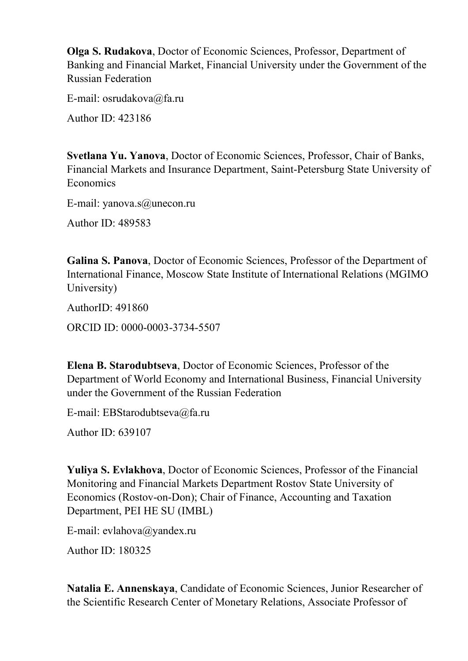**Olga S. Rudakova**, Doctor of Economic Sciences, Professor, Department of Banking and Financial Market, Financial University under the Government of the Russian Federation

E-mail: [osrudakova@fa.ru](mailto:osrudakova@fa.ru)

Author ID: 423186

**Svetlana Yu. Yanova**, Doctor of Economic Sciences, Professor, Chair of Banks, Financial Markets and Insurance Department, Saint-Petersburg State University of Economics

E-mail: yanova.s@unecon.ru

Author ID: 489583

**Galina S. Panova**, Doctor of Economic Sciences, Professor of the Department of International Finance, Moscow State Institute of International Relations (MGIMO University)

AuthorID: 491860

ORCID ID: 0000-0003-3734-5507

**Elena B. Starodubtseva**, Doctor of Economic Sciences, Professor of the Department of World Economy and International Business, Financial University under the Government of the Russian Federation

E-mail: [EBStarodubtseva@fa.ru](mailto:EBStarodubtseva@fa.ru)

Author ID: 639107

**Yuliya S. Evlakhova**, Doctor of Economic Sciences, Professor of the Financial Monitoring and Financial Markets Department Rostov State University of Economics (Rostov-on-Don); Chair of Finance, Accounting and Taxation Department, PEI HE SU (IMBL)

E-mail: [evlahova@yandex.ru](mailto:evlahova@yandex.ru)

Author ID: 180325

**Natalia E. Annenskaya**, Candidate of Economic Sciences, Junior Researcher of the Scientific Research Center of Monetary Relations, Associate Professor of